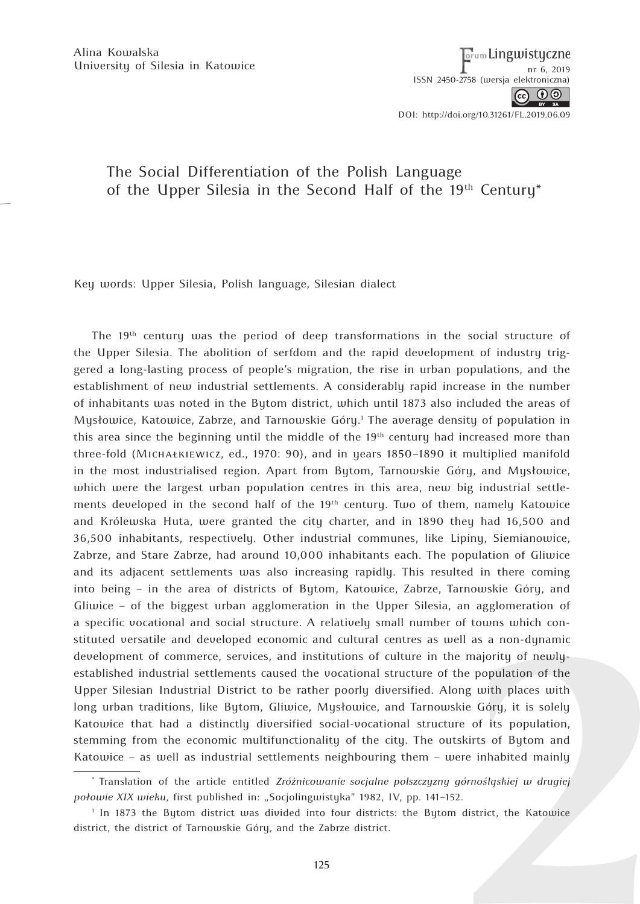Alina Kowalska University of Silesia in Katowice  $\begin{bmatrix} 0 & 0 & 0 \\ 0 & 0 & 0 \\ 0 & 0 & 0 \end{bmatrix}$ 

<sub>orum</sub> Lingwistyczne ISSN 2450-2758 (wersj[a elektroniczna\)](http://www.dbc.wroc.pl/dlibra/doccontent?id=24921)

ெ 0

DOI: http://doi.org/10.31261/FL.2019.06.09

## The Social Differentiation of the Polish Language of the Upper Silesia in the Second Half of the 19<sup>th</sup> Century<sup>\*</sup>

Key words: Upper Silesia, Polish language, Silesian dialect

The 19<sup>th</sup> century was the period of deep transformations in the social structure of the Upper Silesia. The abolition of serfdom and the rapid development of industry triggered a long-lasting process of people's migration, the rise in urban populations, and the establishment of new industrial settlements. A considerably rapid increase in the number of inhabitants was noted in the Bytom district, which until 1873 also included the areas of Mysłowice, Katowice, Zabrze, and Tarnowskie Góry.<sup>1</sup> The average density of population in this area since the beginning until the middle of the  $19<sup>th</sup>$  century had increased more than three-fold (Michałkiewicz, ed., 1970: 90), and in years 1850–1890 it multiplied manifold in the most industrialised region. Apart from Bytom, Tarnowskie Góry, and Mysłowice, which were the largest urban population centres in this area, new big industrial settlements developed in the second half of the  $19<sup>th</sup>$  century. Two of them, namely Katowice and Królewska Huta, were granted the city charter, and in 1890 they had 16,500 and 36,500 inhabitants, respectively. Other industrial communes, like Lipiny, Siemianowice, Zabrze, and Stare Zabrze, had around 10,000 inhabitants each. The population of Gliwice and its adjacent settlements was also increasing rapidly. This resulted in there coming into being – in the area of districts of Bytom, Katowice, Zabrze, Tarnowskie Góry, and Gliwice – of the biggest urban agglomeration in the Upper Silesia, an agglomeration of a specific vocational and social structure. A relatively small number of towns which constituted versatile and developed economic and cultural centres as well as a non-dynamic development of commerce, services, and institutions of culture in the majority of newlyestablished industrial settlements caused the vocational structure of the population of the Upper Silesian Industrial District to be rather poorly diversified. Along with places with long urban traditions, like Bytom, Gliwice, Mysłowice, and Tarnowskie Góry, it is solely Katowice that had a distinctly diversified social-vocational structure of its population, stemming from the economic multifunctionality of the city. The outskirts of Bytom and Katowice – as well as industrial settlements neighbouring them – were inhabited mainly

<sup>\*</sup> Translation of the article entitled *Zróżnicowanie socjalne polszczyzny górnośląskiej w drugiej połowie XIX wieku*, first published in: "Socjolingwistyka" 1982, IV, pp. 141–152.

<sup>1</sup> In 1873 the Bytom district was divided into four districts: the Bytom district, the Katowice district, the district of Tarnowskie Góry, and the Zabrze district.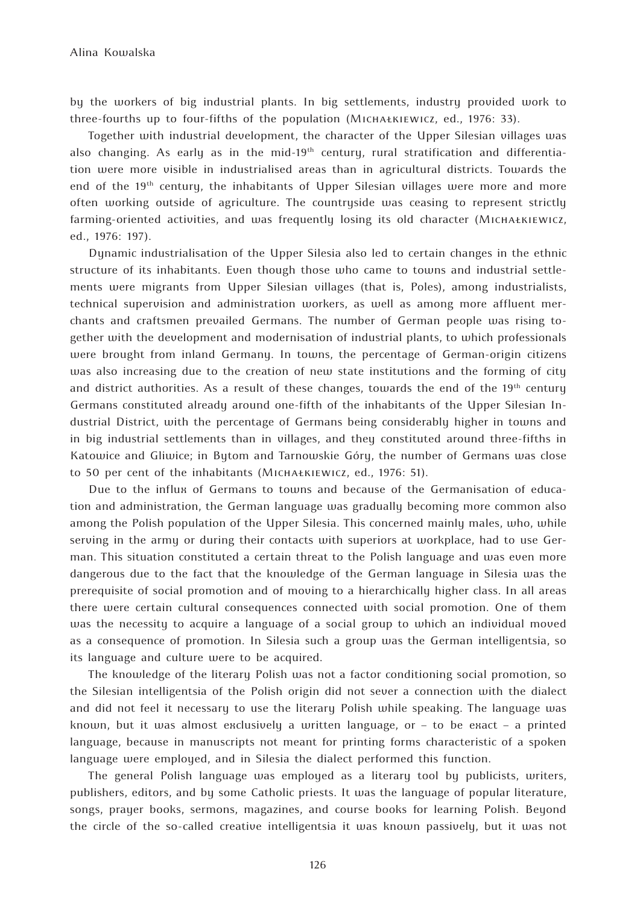by the workers of big industrial plants. In big settlements, industry provided work to three-fourths up to four-fifths of the population (Michałkiewicz, ed., 1976: 33).

Together with industrial development, the character of the Upper Silesian villages was also changing. As early as in the mid-19<sup>th</sup> century, rural stratification and differentiation were more visible in industrialised areas than in agricultural districts. Towards the end of the 19<sup>th</sup> century, the inhabitants of Upper Silesian villages were more and more often working outside of agriculture. The countryside was ceasing to represent strictly farming-oriented activities, and was frequently losing its old character (MICHAŁKIEWICZ, ed., 1976: 197).

Dynamic industrialisation of the Upper Silesia also led to certain changes in the ethnic structure of its inhabitants. Even though those who came to towns and industrial settlements were migrants from Upper Silesian villages (that is, Poles), among industrialists, technical supervision and administration workers, as well as among more affluent merchants and craftsmen prevailed Germans. The number of German people was rising together with the development and modernisation of industrial plants, to which professionals were brought from inland Germany. In towns, the percentage of German-origin citizens was also increasing due to the creation of new state institutions and the forming of city and district authorities. As a result of these changes, towards the end of the  $19<sup>th</sup>$  century Germans constituted already around one-fifth of the inhabitants of the Upper Silesian Industrial District, with the percentage of Germans being considerably higher in towns and in big industrial settlements than in villages, and they constituted around three-fifths in Katowice and Gliwice; in Bytom and Tarnowskie Góry, the number of Germans was close to 50 per cent of the inhabitants (Michałkiewicz, ed., 1976: 51).

Due to the influx of Germans to towns and because of the Germanisation of education and administration, the German language was gradually becoming more common also among the Polish population of the Upper Silesia. This concerned mainly males, who, while serving in the army or during their contacts with superiors at workplace, had to use German. This situation constituted a certain threat to the Polish language and was even more dangerous due to the fact that the knowledge of the German language in Silesia was the prerequisite of social promotion and of moving to a hierarchically higher class. In all areas there were certain cultural consequences connected with social promotion. One of them was the necessity to acquire a language of a social group to which an individual moved as a consequence of promotion. In Silesia such a group was the German intelligentsia, so its language and culture were to be acquired.

The knowledge of the literary Polish was not a factor conditioning social promotion, so the Silesian intelligentsia of the Polish origin did not sever a connection with the dialect and did not feel it necessary to use the literary Polish while speaking. The language was known, but it was almost exclusively a written language, or – to be exact – a printed language, because in manuscripts not meant for printing forms characteristic of a spoken language were employed, and in Silesia the dialect performed this function.

The general Polish language was employed as a literary tool by publicists, writers, publishers, editors, and by some Catholic priests. It was the language of popular literature, songs, prayer books, sermons, magazines, and course books for learning Polish. Beyond the circle of the so-called creative intelligentsia it was known passively, but it was not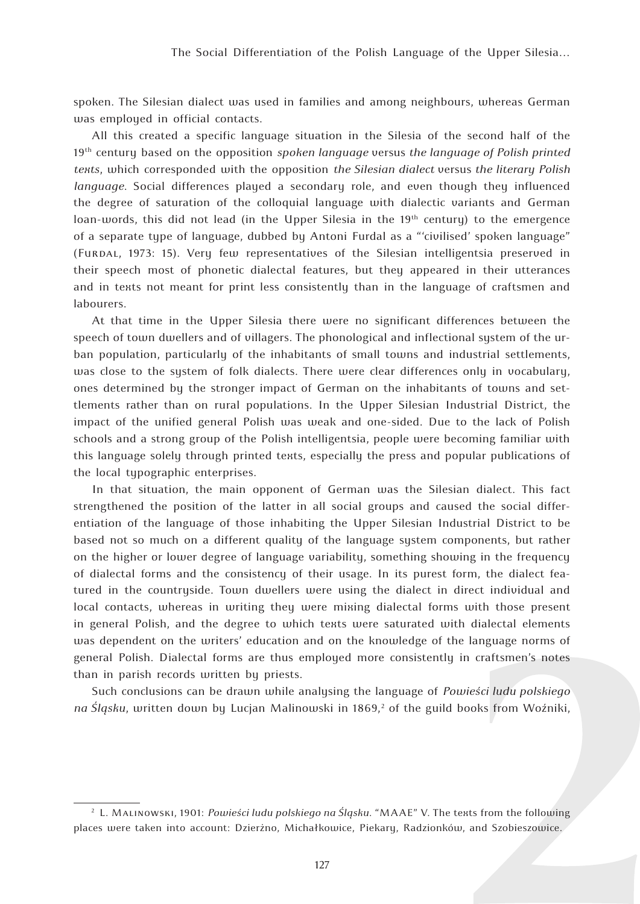spoken. The Silesian dialect was used in families and among neighbours, whereas German was employed in official contacts.

All this created a specific language situation in the Silesia of the second half of the 19th century based on the opposition *spoken language* versus *the language of Polish printed texts*, which corresponded with the opposition *the Silesian dialect* versus *the literary Polish language*. Social differences played a secondary role, and even though they influenced the degree of saturation of the colloquial language with dialectic variants and German loan-words, this did not lead (in the Upper Silesia in the  $19<sup>th</sup>$  century) to the emergence of a separate type of language, dubbed by Antoni Furdal as a "'civilised' spoken language" (Furdal, 1973: 15). Very few representatives of the Silesian intelligentsia preserved in their speech most of phonetic dialectal features, but they appeared in their utterances and in texts not meant for print less consistently than in the language of craftsmen and labourers.

At that time in the Upper Silesia there were no significant differences between the speech of town dwellers and of villagers. The phonological and inflectional system of the urban population, particularly of the inhabitants of small towns and industrial settlements, was close to the system of folk dialects. There were clear differences only in vocabulary, ones determined by the stronger impact of German on the inhabitants of towns and settlements rather than on rural populations. In the Upper Silesian Industrial District, the impact of the unified general Polish was weak and one-sided. Due to the lack of Polish schools and a strong group of the Polish intelligentsia, people were becoming familiar with this language solely through printed texts, especially the press and popular publications of the local typographic enterprises.

In that situation, the main opponent of German was the Silesian dialect. This fact strengthened the position of the latter in all social groups and caused the social differentiation of the language of those inhabiting the Upper Silesian Industrial District to be based not so much on a different quality of the language system components, but rather on the higher or lower degree of language variability, something showing in the frequency of dialectal forms and the consistency of their usage. In its purest form, the dialect featured in the countryside. Town dwellers were using the dialect in direct individual and local contacts, whereas in writing they were mixing dialectal forms with those present in general Polish, and the degree to which texts were saturated with dialectal elements was dependent on the writers' education and on the knowledge of the language norms of general Polish. Dialectal forms are thus employed more consistently in craftsmen's notes than in parish records written by priests.

Such conclusions can be drawn while analysing the language of *Powieści ludu polskiego*  na Sląsku, written down by Lucjan Malinowski in 1869,<sup>2</sup> of the guild books from Woźniki,

<sup>2</sup> L. Malinowski, 1901: *Powieści ludu polskiego na Śląsku*. "MAAE" V. The texts from the following places were taken into account: Dzierżno, Michałkowice, Piekary, Radzionków, and Szobieszowice.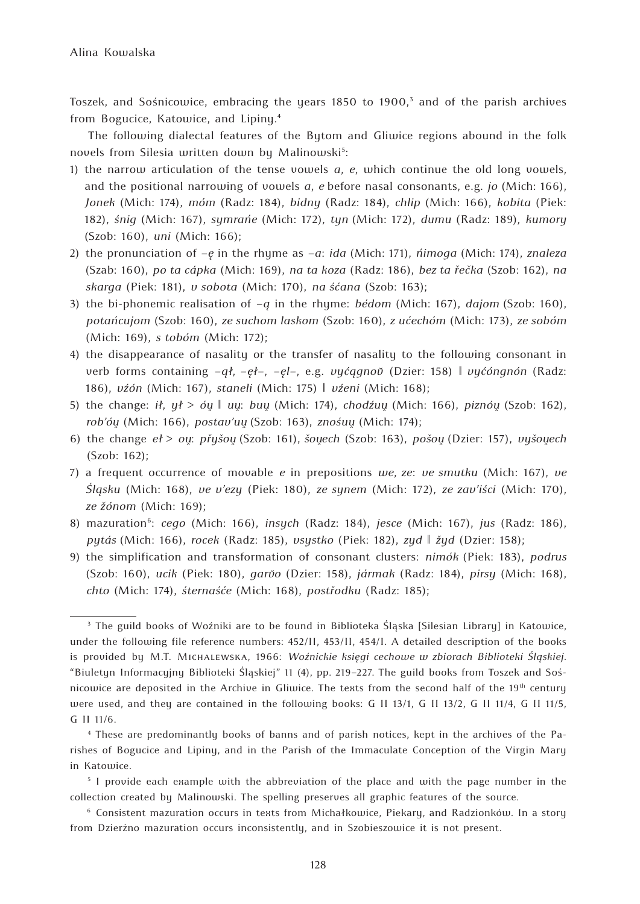Toszek, and Sośnicowice, embracing the years 1850 to 1900, $^3$  and of the parish archives from Bogucice, Katowice, and Lipiny.<sup>4</sup>

The following dialectal features of the Bytom and Gliwice regions abound in the folk novels from Silesia written down by Malinowski<sup>s</sup>:

- 1) the narrow articulation of the tense vowels *a*, *e*, which continue the old long vowels, and the positional narrowing of vowels *a*, *e* before nasal consonants, e.g. *jo* (Mich: 166), *Jonek* (Mich: 174), *móm* (Radz: 184), *bidny* (Radz: 184), *chlip* (Mich: 166), *kobita* (Piek: 182), *śnig* (Mich: 167), *symrańe* (Mich: 172), *tyn* (Mich: 172), *dumu* (Radz: 189), *kumory*  (Szob: 160), *uni* (Mich: 166);
- 2) the pronunciation of *–ę* in the rhyme as *–a*: *ida* (Mich: 171), *ńimoga* (Mich: 174), *znaleza*  (Szab: 160), *po ta cápka* (Mich: 169), *na ta koza* (Radz: 186), *bez ta řečka* (Szob: 162), *na skarga* (Piek: 181), *v sobota* (Mich: 170), *na śćana* (Szob: 163);
- 3) the bi-phonemic realisation of *–ą* in the rhyme: *bédom* (Mich: 167), *dajom* (Szob: 160), *potańcujom* (Szob: 160), *ze suchom laskom* (Szob: 160), *z ućechóm* (Mich: 173), *ze sobóm* (Mich: 169), *s tobóm* (Mich: 172);
- 4) the disappearance of nasality or the transfer of nasality to the following consonant in verb forms containing *–ął*, *–ęł–*, *–ęl–*, e.g. *vyćągnov˘* (Dzier: 158) ‖ *vyćóngnón* (Radz: 186), *vźón* (Mich: 167), *staneli* (Mich: 175) ‖ *vźeni* (Mich: 168);
- 5) the change: *ił*, *ył* > *óu <sup>ˆ</sup>* ‖ *uu* : *buuˆ* (Mich: 174), *chodźuuˆ* (Mich: 166), *piznóuˆ* (Szob: 162), *rob'óu* (Mich: 166), *postav'uu* (Szob: 163), *znośuu* (Mich: 174);
- 6) the change  $e\ell > o\mu$ : *přyšou* (Szob: 161), *šouech* (Szob: 163), *pošou* (Dzier: 157), *vyšouech* (Szob: 162);
- 7) a frequent occurrence of movable *e* in prepositions *we*, *ze*: *ve smutku* (Mich: 167), *ve Śląsku* (Mich: 168), *ve v'ezy* (Piek: 180), *ze synem* (Mich: 172), *ze zav'iści* (Mich: 170), *ze žónom* (Mich: 169);
- 8) mazuration6: *cego* (Mich: 166), *insych* (Radz: 184), *jesce* (Mich: 167), *jus* (Radz: 186), *pytás* (Mich: 166), *rocek* (Radz: 185), *vsystko* (Piek: 182), *zyd* ‖ *žyd* (Dzier: 158);
- 9) the simplification and transformation of consonant clusters: *nimók* (Piek: 183), *podrus* (Szob: 160), *ucik* (Piek: 180), *garv˘o* (Dzier: 158), *jármak* (Radz: 184), *pirsy* (Mich: 168), *chto* (Mich: 174), *śternaśće* (Mich: 168), *postřodku* (Radz: 185);

<sup>&</sup>lt;sup>3</sup> The guild books of Woźniki are to be found in Biblioteka Śląska [Silesian Library] in Katowice, under the following file reference numbers: 452/II, 453/II, 454/I. A detailed description of the books is provided by M.T. Michalewska, 1966: *Woźnickie księgi cechowe w zbiorach Biblioteki Śląskiej*. "Biuletyn Informacyjny Biblioteki Śląskiej" 11 (4), pp. 219–227. The guild books from Toszek and Sośnicowice are deposited in the Archive in Gliwice. The texts from the second half of the 19<sup>th</sup> century were used, and they are contained in the following books: G II 13/1, G II 13/2, G II 11/4, G II 11/5, G II 11/6.

<sup>4</sup> These are predominantly books of banns and of parish notices, kept in the archives of the Parishes of Bogucice and Lipiny, and in the Parish of the Immaculate Conception of the Virgin Mary in Katowice.

<sup>5</sup> I provide each example with the abbreviation of the place and with the page number in the collection created by Malinowski. The spelling preserves all graphic features of the source.

<sup>6</sup> Consistent mazuration occurs in texts from Michałkowice, Piekary, and Radzionków. In a story from Dzierżno mazuration occurs inconsistently, and in Szobieszowice it is not present.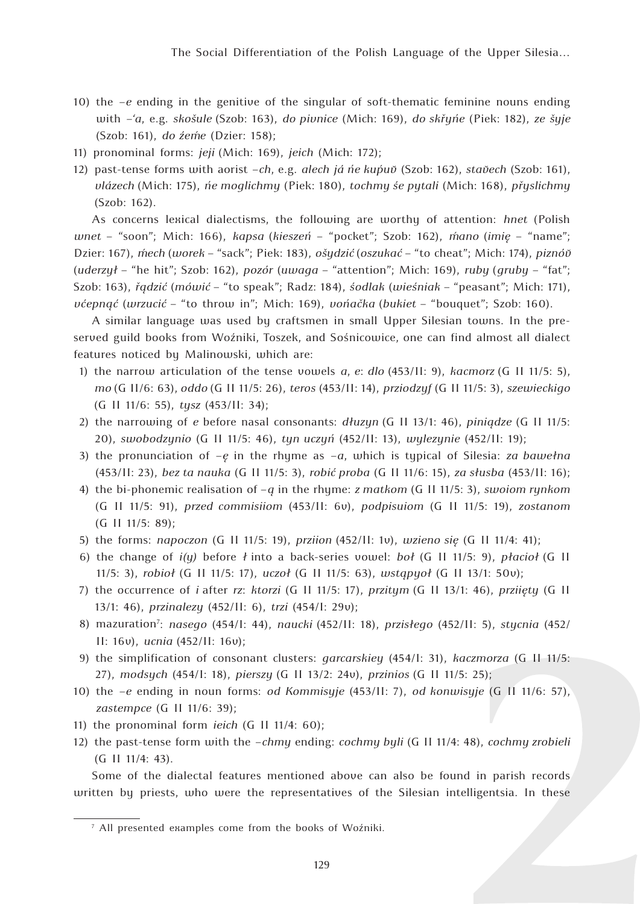- 10) the *–e* ending in the genitive of the singular of soft-thematic feminine nouns ending with *–'a*, e.g. *skošule* (Szob: 163), *do pivnice* (Mich: 169), *do skřyńe* (Piek: 182), *ze šyje*  (Szob: 161), *do źeḿe* (Dzier: 158);
- 11) pronominal forms: *jeji* (Mich: 169), *jeich* (Mich: 172);
- 12) past-tense forms with aorist *–ch*, e.g. *alech já ne kupuv* (Szob: 162), *stavech* (Szob: 161), *vlázech* (Mich: 175), *ńe moglichmy* (Piek: 180), *tochmy śe pytali* (Mich: 168), *přyslichmy*  (Szob: 162).

As concerns lexical dialectisms, the following are worthy of attention: *hnet* (Polish *wnet* – "soon"; Mich: 166), *kapsa* (*kieszeń* – "pocket"; Szob: 162), *m´ ano* (*imię* – "name"; Dzier: 167), *m´ ech* (*worek* – "sack"; Piek: 183), *ošydzić* (*oszukać* – "to cheat"; Mich: 174), *piznóv˘* (*uderzył* – "he hit"; Szob: 162), *pozór* (*uwaga* – "attention"; Mich: 169), *ruby* (*gruby* – "fat"; Szob: 163), *řądzić* (*mówić* – "to speak"; Radz: 184), *śodlak* (*wieśniak* – "peasant"; Mich: 171), *vćepnąć* (*wrzucić* – "to throw in"; Mich: 169), *vońačka* (*bukiet* – "bouquet"; Szob: 160).

A similar language was used by craftsmen in small Upper Silesian towns. In the preserved guild books from Woźniki, Toszek, and Sośnicowice, one can find almost all dialect features noticed by Malinowski, which are:

- 1) the narrow articulation of the tense vowels *a*, *e*: *dlo* (453/II: 9), *kacmorz* (G II 11/5: 5), *mo* (G II/6: 63), *oddo* (G II 11/5: 26), *teros* (453/II: 14), *prziodzyf* (G II 11/5: 3), *szewieckigo* (G II 11/6: 55), *tysz* (453/II: 34);
- 2) the narrowing of *e* before nasal consonants: *dłuzyn* (G II 13/1: 46), *piniądze* (G II 11/5: 20), *swobodzynio* (G II 11/5: 46), *tyn uczyń* (452/II: 13), *wylezynie* (452/II: 19);
- 3) the pronunciation of *–ę* in the rhyme as *–a*, which is typical of Silesia: *za bawełna* (453/II: 23), *bez ta nauka* (G II 11/5: 3), *robić proba* (G II 11/6: 15), *za słusba* (453/II: 16);
- 4) the bi-phonemic realisation of –*ą* in the rhyme: *z matkom* (G II 11/5: 3), *swoiom rynkom* (G II 11/5: 91), *przed commisiiom* (453/II: 6v), *podpisuiom* (G II 11/5: 19), *zostanom* (G II 11/5: 89);
- 5) the forms: *napoczon* (G II 11/5: 19), *prziion* (452/II: 1v), *wzieno się* (G II 11/4: 41);
- 6) the change of *i(y)* before *ł* into a back-series vowel: *boł* (G II 11/5: 9), *płacioł* (G II 11/5: 3), *robioł* (G II 11/5: 17), *uczoł* (G II 11/5: 63), *wstąpyoł* (G II 13/1: 50v);
- 7) the occurrence of *i* after *rz*: *ktorzi* (G II 11/5: 17), *przitym* (G II 13/1: 46), *prziięty* (G II 13/1: 46), *przinalezy* (452/II: 6), *trzi* (454/I: 29v);
- 8) mazuration7 : *nasego* (454/I: 44), *naucki* (452/II: 18), *przisłego* (452/II: 5), *stycnia* (452/ II: 16v), *ucnia* (452/II: 16v);
- 9) the simplification of consonant clusters: *garcarskiey* (454/I: 31), *kaczmorza* (G II 11/5: 27), *modsych* (454/I: 18), *pierszy* (G II 13/2: 24v), *przinios* (G II 11/5: 25);
- 10) the *–e* ending in noun forms: *od Kommisyje* (453/II: 7), *od konwisyje* (G II 11/6: 57), *zastempce* (G II 11/6: 39);
- 11) the pronominal form *ieich* (G II 11/4: 60);
- 12) the past-tense form with the *–chmy* ending: *cochmy byli* (G II 11/4: 48), *cochmy zrobieli* (G II 11/4: 43).

Some of the dialectal features mentioned above can also be found in parish records written by priests, who were the representatives of the Silesian intelligentsia. In these

<sup>7</sup> All presented examples come from the books of Woźniki.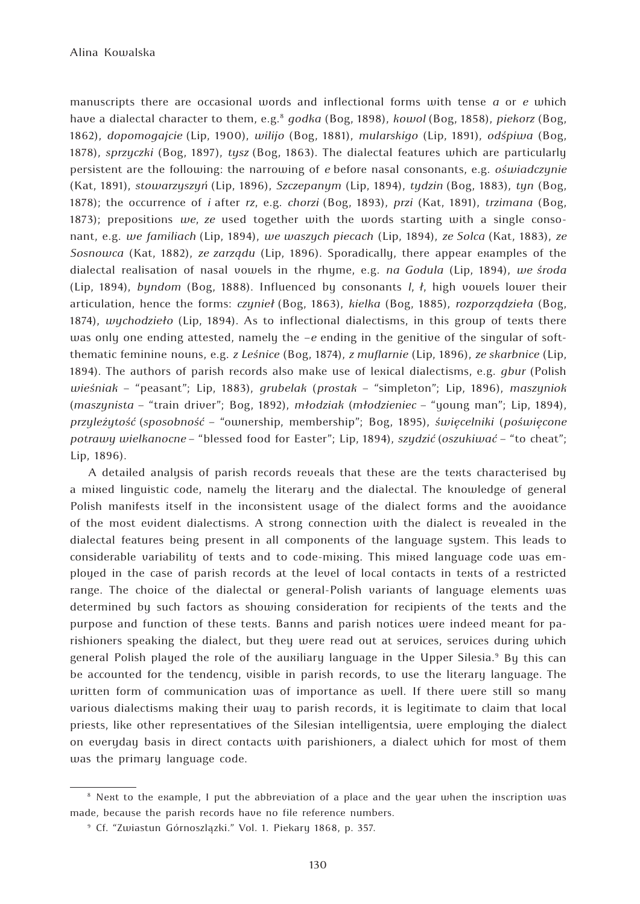manuscripts there are occasional words and inflectional forms with tense *a* or *e* which have a dialectal character to them, e.g.8 *godka* (Bog, 1898), *kowol* (Bog, 1858), *piekorz* (Bog, 1862), *dopomogajcie* (Lip, 1900), *wilijo* (Bog, 1881), *mularskigo* (Lip, 1891), *odśpiwa* (Bog, 1878), *sprzyczki* (Bog, 1897), *tysz* (Bog, 1863). The dialectal features which are particularly persistent are the following: the narrowing of *e* before nasal consonants, e.g. *oświadczynie* (Kat, 1891), *stowarzyszyń* (Lip, 1896), *Szczepanym* (Lip, 1894), *tydzin* (Bog, 1883), *tyn* (Bog, 1878); the occurrence of *i* after *rz*, e.g. *chorzi* (Bog, 1893), *przi* (Kat, 1891), *trzimana* (Bog, 1873); prepositions *we*, *ze* used together with the words starting with a single consonant, e.g. *we familiach* (Lip, 1894), *we waszych piecach* (Lip, 1894), *ze Solca* (Kat, 1883), *ze Sosnowca* (Kat, 1882), *ze zarządu* (Lip, 1896). Sporadically, there appear examples of the dialectal realisation of nasal vowels in the rhyme, e.g. *na Godula* (Lip, 1894), *we środa* (Lip, 1894), *byndom* (Bog, 1888). Influenced by consonants *l*, *ł*, high vowels lower their articulation, hence the forms: *czynieł* (Bog, 1863), *kielka* (Bog, 1885), *rozporządzieła* (Bog, 1874), *wychodzieło* (Lip, 1894). As to inflectional dialectisms, in this group of texts there was only one ending attested, namely the *-e* ending in the genitive of the singular of softthematic feminine nouns, e.g. *z Leśnice* (Bog, 1874), *z muflarnie* (Lip, 1896), *ze skarbnice* (Lip, 1894). The authors of parish records also make use of lexical dialectisms, e.g. *gbur* (Polish *wieśniak* – "peasant"; Lip, 1883), *grubelak* (*prostak* – "simpleton"; Lip, 1896), *maszyniok*  (*maszynista* – "train driver"; Bog, 1892), *młodziak* (*młodzieniec* – "young man"; Lip, 1894), *przyleżytość* (*sposobność* – "ownership, membership"; Bog, 1895), *święcelniki* (*poświęcone potrawy wielkanocne* – "blessed food for Easter"; Lip, 1894), *szydzić* (*oszukiwać* – "to cheat"; Lip, 1896).

A detailed analysis of parish records reveals that these are the texts characterised by a mixed linguistic code, namely the literary and the dialectal. The knowledge of general Polish manifests itself in the inconsistent usage of the dialect forms and the avoidance of the most evident dialectisms. A strong connection with the dialect is revealed in the dialectal features being present in all components of the language system. This leads to considerable variability of texts and to code-mixing. This mixed language code was employed in the case of parish records at the level of local contacts in texts of a restricted range. The choice of the dialectal or general-Polish variants of language elements was determined by such factors as showing consideration for recipients of the texts and the purpose and function of these texts. Banns and parish notices were indeed meant for parishioners speaking the dialect, but they were read out at services, services during which general Polish played the role of the auxiliary language in the Upper Silesia.<sup>9</sup> By this can be accounted for the tendency, visible in parish records, to use the literary language. The written form of communication was of importance as well. If there were still so many various dialectisms making their way to parish records, it is legitimate to claim that local priests, like other representatives of the Silesian intelligentsia, were employing the dialect on everyday basis in direct contacts with parishioners, a dialect which for most of them was the primary language code.

<sup>&</sup>lt;sup>8</sup> Next to the example, I put the abbreviation of a place and the year when the inscription was made, because the parish records have no file reference numbers.

<sup>9</sup> Cf. "Zwiastun Górnoszlązki." Vol. 1. Piekary 1868, p. 357.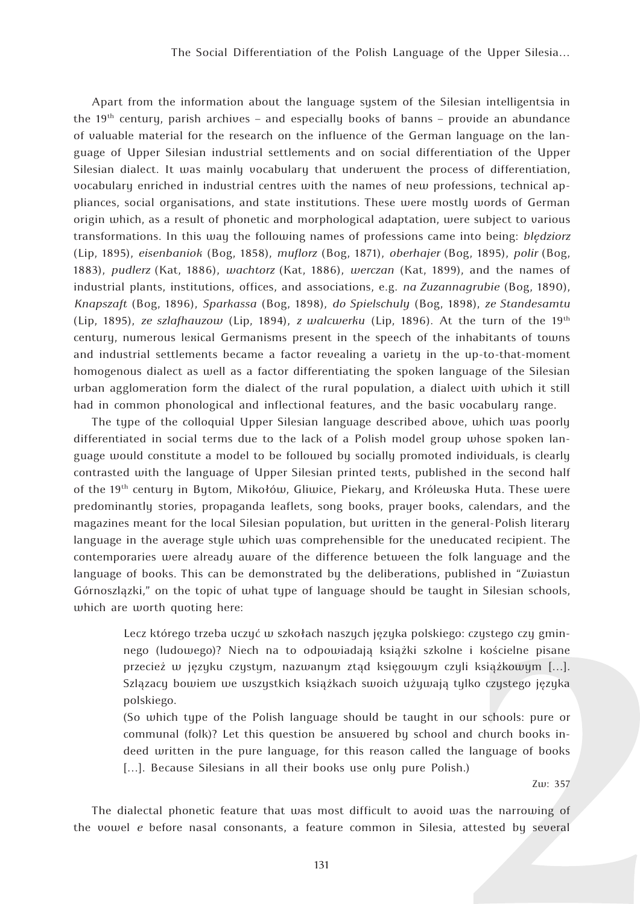Apart from the information about the language system of the Silesian intelligentsia in the  $19<sup>th</sup>$  century, parish archives – and especially books of banns – provide an abundance of valuable material for the research on the influence of the German language on the language of Upper Silesian industrial settlements and on social differentiation of the Upper Silesian dialect. It was mainly vocabulary that underwent the process of differentiation, vocabulary enriched in industrial centres with the names of new professions, technical appliances, social organisations, and state institutions. These were mostly words of German origin which, as a result of phonetic and morphological adaptation, were subject to various transformations. In this way the following names of professions came into being: *blędziorz*  (Lip, 1895), *eisenbaniok* (Bog, 1858), *muflorz* (Bog, 1871), *oberhajer* (Bog, 1895), *polir* (Bog, 1883), *pudlerz* (Kat, 1886), *wachtorz* (Kat, 1886), *werczan* (Kat, 1899), and the names of industrial plants, institutions, offices, and associations, e.g. *na Zuzannagrubie* (Bog, 1890), *Knapszaft* (Bog, 1896), *Sparkassa* (Bog, 1898), *do Spielschuly* (Bog, 1898), *ze Standesamtu* (Lip, 1895), *ze szlafhauzow* (Lip, 1894), *z walcwerku* (Lip, 1896). At the turn of the 19th century, numerous lexical Germanisms present in the speech of the inhabitants of towns and industrial settlements became a factor revealing a variety in the up-to-that-moment homogenous dialect as well as a factor differentiating the spoken language of the Silesian urban agglomeration form the dialect of the rural population, a dialect with which it still had in common phonological and inflectional features, and the basic vocabulary range.

The type of the colloquial Upper Silesian language described above, which was poorly differentiated in social terms due to the lack of a Polish model group whose spoken language would constitute a model to be followed by socially promoted individuals, is clearly contrasted with the language of Upper Silesian printed texts, published in the second half of the 19th century in Bytom, Mikołów, Gliwice, Piekary, and Królewska Huta. These were predominantly stories, propaganda leaflets, song books, prayer books, calendars, and the magazines meant for the local Silesian population, but written in the general-Polish literary language in the average style which was comprehensible for the uneducated recipient. The contemporaries were already aware of the difference between the folk language and the language of books. This can be demonstrated by the deliberations, published in "Zwiastun Górnoszlązki," on the topic of what type of language should be taught in Silesian schools, which are worth quoting here:

Lecz którego trzeba uczyć w szkołach naszych języka polskiego: czystego czy gminnego (ludowego)? Niech na to odpowiadają książki szkolne i kościelne pisane przecież w języku czystym, nazwanym ztąd księgowym czyli książkowym […]. Szlązacy bowiem we wszystkich książkach swoich używają tylko czystego języka polskiego.

(So which type of the Polish language should be taught in our schools: pure or communal (folk)? Let this question be answered by school and church books indeed written in the pure language, for this reason called the language of books [...]. Because Silesians in all their books use only pure Polish.)

Zw: 357

The dialectal phonetic feature that was most difficult to avoid was the narrowing of the vowel *e* before nasal consonants, a feature common in Silesia, attested by several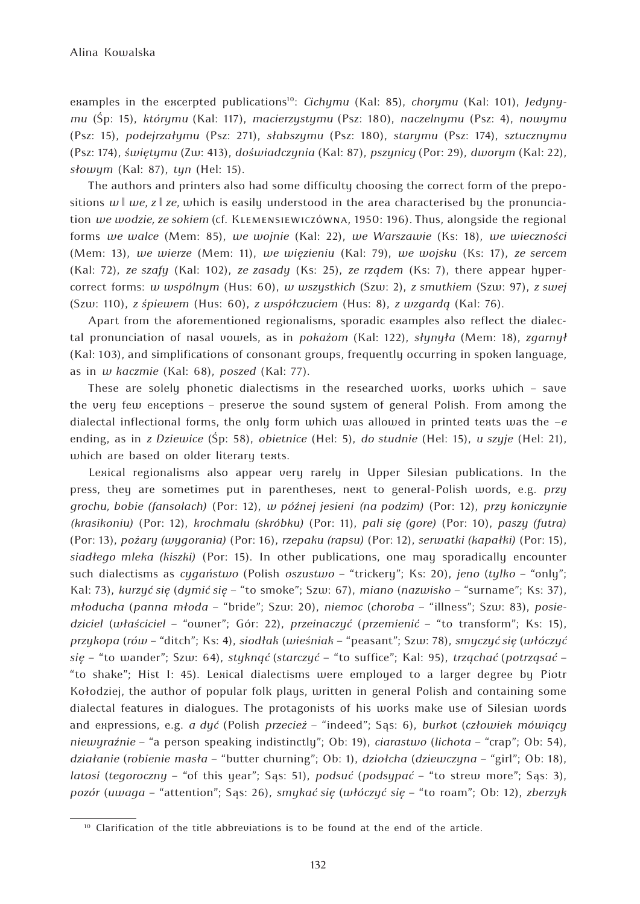examples in the excerpted publications10: *Cichymu* (Kal: 85), *chorymu* (Kal: 101), *Jedynymu* (Śp: 15), *którymu* (Kal: 117), *macierzystymu* (Psz: 180), *naczelnymu* (Psz: 4), *nowymu* (Psz: 15), *podejrzałymu* (Psz: 271), *słabszymu* (Psz: 180), *starymu* (Psz: 174), *sztucznymu* (Psz: 174), *świętymu* (Zw: 413), *doświadczynia* (Kal: 87), *pszynicy* (Por: 29), *dworym* (Kal: 22), *słowym* (Kal: 87), *tyn* (Hel: 15).

The authors and printers also had some difficulty choosing the correct form of the prepositions  $w \mid we, z \mid ze$ , which is easily understood in the area characterised by the pronunciation *we wodzie, ze sokiem* (cf. Klemensiewiczówna, 1950: 196)*.* Thus, alongside the regional forms *we walce* (Mem: 85), *we wojnie* (Kal: 22), *we Warszawie* (Ks: 18), *we wieczności* (Mem: 13), *we wierze* (Mem: 11), *we więzieniu* (Kal: 79), *we wojsku* (Ks: 17), *ze sercem* (Kal: 72), *ze szafy* (Kal: 102), *ze zasady* (Ks: 25), *ze rządem* (Ks: 7), there appear hypercorrect forms: *w wspólnym* (Hus: 60), *w wszystkich* (Szw: 2), *z smutkiem* (Szw: 97), *z swej* (Szw: 110), *z śpiewem* (Hus: 60), *z współczuciem* (Hus: 8), *z wzgardą* (Kal: 76).

Apart from the aforementioned regionalisms, sporadic examples also reflect the dialectal pronunciation of nasal vowels, as in *pokażom* (Kal: 122), *słynyła* (Mem: 18), *zgarnył*  (Kal: 103), and simplifications of consonant groups, frequently occurring in spoken language, as in *w kaczmie* (Kal: 68), *poszed* (Kal: 77).

These are solely phonetic dialectisms in the researched works, works which – save the very few exceptions – preserve the sound system of general Polish. From among the dialectal inflectional forms, the only form which was allowed in printed texts was the *–e* ending, as in *z Dziewice* (Śp: 58), *obietnice* (Hel: 5), *do studnie* (Hel: 15), *u szyje* (Hel: 21), which are based on older literary texts.

Lexical regionalisms also appear very rarely in Upper Silesian publications. In the press, they are sometimes put in parentheses, next to general-Polish words, e.g. *przy grochu, bobie (fansolach)* (Por: 12), *w późnej jesieni (na podzim)* (Por: 12), *przy koniczynie (krasikoniu)* (Por: 12), *krochmalu (skróbku)* (Por: 11), *pali się (gore)* (Por: 10), *paszy (futra)* (Por: 13), *pożary (wygorania)* (Por: 16), *rzepaku (rapsu)* (Por: 12), *serwatki (kapałki)* (Por: 15), *siadłego mleka (kiszki)* (Por: 15). In other publications, one may sporadically encounter such dialectisms as *cygaństwo* (Polish *oszustwo* – "trickery"; Ks: 20), *jeno* (*tylko* – "only"; Kal: 73), *kurzyć się* (*dymić się* – "to smoke"; Szw: 67), *miano* (*nazwisko* – "surname"; Ks: 37), *młoducha* (*panna młoda* – "bride"; Szw: 20), *niemoc* (*choroba* – "illness"; Szw: 83), *posiedziciel* (*właściciel* – "owner"; Gór: 22), *przeinaczyć* (*przemienić* – "to transform"; Ks: 15), *przykopa* (*rów* – "ditch"; Ks: 4), *siodłak* (*wieśniak* – "peasant"; Szw: 78), *smyczyć się* (*włóczyć się* – "to wander"; Szw: 64), *styknąć* (*starczyć* – "to suffice"; Kal: 95), *trząchać* (*potrząsać* – "to shake"; Hist I: 45). Lexical dialectisms were employed to a larger degree by Piotr Kołodziej, the author of popular folk plays, written in general Polish and containing some dialectal features in dialogues. The protagonists of his works make use of Silesian words and expressions, e.g. *a dyć* (Polish *przecież* – "indeed"; Sąs: 6), *burkot* (*człowiek mówiący niewyraźnie* – "a person speaking indistinctly"; Ob: 19), *ciarastwo* (*lichota* – "crap"; Ob: 54), *działanie* (*robienie masła* – "butter churning"; Ob: 1), *dziołcha* (*dziewczyna* – "girl"; Ob: 18), *latosi* (*tegoroczny* – "of this year"; Sąs: 51), *podsuć* (*podsypać* – "to strew more"; Sąs: 3), *pozór* (*uwaga* – "attention"; Sąs: 26), *smykać się* (*włóczyć się* – "to roam"; Ob: 12), *zberzyk*

 $10$  Clarification of the title abbreviations is to be found at the end of the article.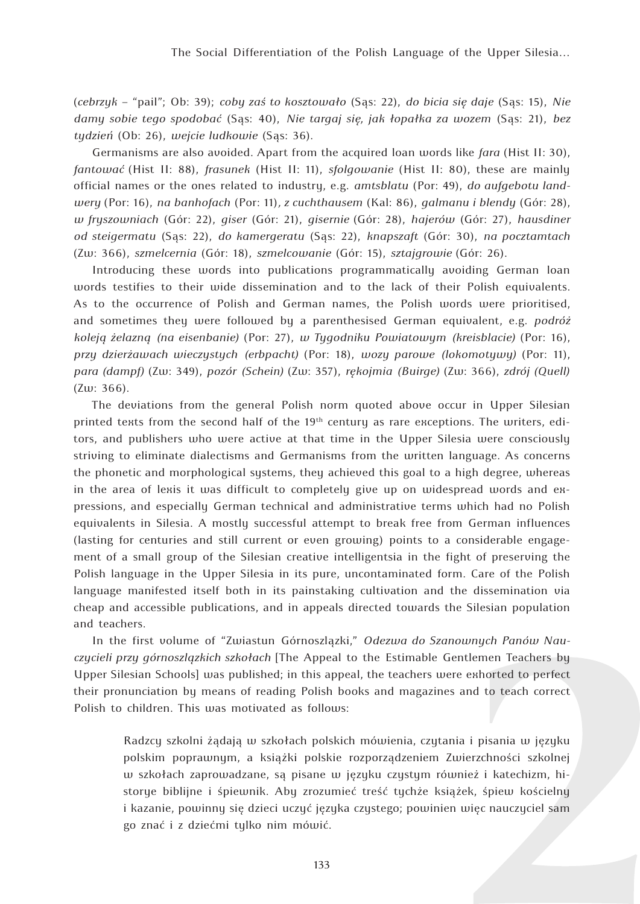(*cebrzyk* – "pail"; Ob: 39); *coby zaś to kosztowało* (Sąs: 22), *do bicia się daje* (Sąs: 15), *Nie damy sobie tego spodobać* (Sąs: 40), *Nie targaj się, jak łopałka za wozem* (Sąs: 21), *bez tydzień* (Ob: 26), *wejcie ludkowie* (Sąs: 36).

Germanisms are also avoided. Apart from the acquired loan words like *fara* (Hist II: 30), *fantować* (Hist II: 88), *frasunek* (Hist II: 11), *sfolgowanie* (Hist II: 80), these are mainly official names or the ones related to industry, e.g. *amtsblatu* (Por: 49), *do aufgebotu landwery* (Por: 16), *na banhofach* (Por: 11)*, z cuchthausem* (Kal: 86), *galmanu i blendy* (Gór: 28), *w fryszowniach* (Gór: 22), *giser* (Gór: 21), *gisernie* (Gór: 28), *hajerów* (Gór: 27), *hausdiner od steigermatu* (Sąs: 22), *do kamergeratu* (Sąs: 22), *knapszaft* (Gór: 30), *na pocztamtach* (Zw: 366), *szmelcernia* (Gór: 18), *szmelcowanie* (Gór: 15), *sztajgrowie* (Gór: 26).

Introducing these words into publications programmatically avoiding German loan words testifies to their wide dissemination and to the lack of their Polish equivalents. As to the occurrence of Polish and German names, the Polish words were prioritised, and sometimes they were followed by a parenthesised German equivalent, e.g. *podróż koleją żelazną (na eisenbanie)* (Por: 27), *w Tygodniku Powiatowym (kreisblacie)* (Por: 16), *przy dzierżawach wieczystych (erbpacht)* (Por: 18), *wozy parowe (lokomotywy)* (Por: 11), *para (dampf)* (Zw: 349), *pozór (Schein)* (Zw: 357), *rękojmia (Buirge)* (Zw: 366), *zdrój (Quell)*  (Zw: 366).

The deviations from the general Polish norm quoted above occur in Upper Silesian printed texts from the second half of the  $19<sup>th</sup>$  century as rare exceptions. The writers, editors, and publishers who were active at that time in the Upper Silesia were consciously striving to eliminate dialectisms and Germanisms from the written language. As concerns the phonetic and morphological systems, they achieved this goal to a high degree, whereas in the area of lexis it was difficult to completely give up on widespread words and expressions, and especially German technical and administrative terms which had no Polish equivalents in Silesia. A mostly successful attempt to break free from German influences (lasting for centuries and still current or even growing) points to a considerable engagement of a small group of the Silesian creative intelligentsia in the fight of preserving the Polish language in the Upper Silesia in its pure, uncontaminated form. Care of the Polish language manifested itself both in its painstaking cultivation and the dissemination via cheap and accessible publications, and in appeals directed towards the Silesian population and teachers.

In the first volume of "Zwiastun Górnoszlązki," *Odezwa do Szanownych Panów Nauczycieli przy górnoszlązkich szkołach* [The Appeal to the Estimable Gentlemen Teachers by Upper Silesian Schools] was published; in this appeal, the teachers were exhorted to perfect their pronunciation by means of reading Polish books and magazines and to teach correct Polish to children. This was motivated as follows:

Radzcy szkolni żądają w szkołach polskich mówienia, czytania i pisania w języku polskim poprawnym, a książki polskie rozporządzeniem Zwierzchności szkolnej w szkołach zaprowadzane, są pisane w języku czystym również i katechizm, historye biblijne i śpiewnik. Aby zrozumieć treść tychże książek, śpiew kościelny i kazanie, powinny się dzieci uczyć języka czystego; powinien więc nauczyciel sam go znać i z dziećmi tylko nim mówić.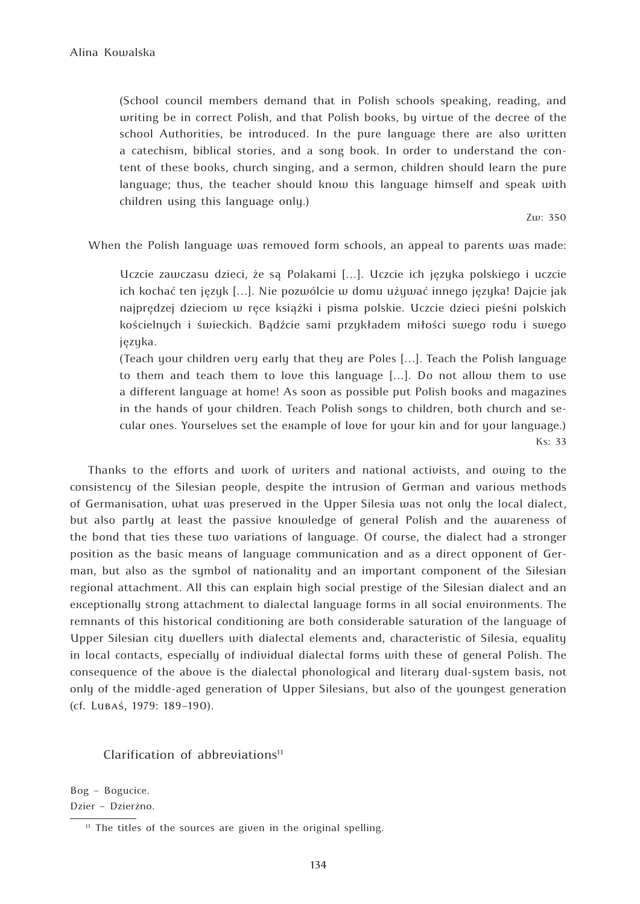(School council members demand that in Polish schools speaking, reading, and writing be in correct Polish, and that Polish books, by virtue of the decree of the school Authorities, be introduced. In the pure language there are also written a catechism, biblical stories, and a song book. In order to understand the content of these books, church singing, and a sermon, children should learn the pure language; thus, the teacher should know this language himself and speak with children using this language only.)

Zw: 350

When the Polish language was removed form schools, an appeal to parents was made:

Uczcie zawczasu dzieci, że są Polakami […]. Uczcie ich języka polskiego i uczcie ich kochać ten język […]. Nie pozwólcie w domu używać innego języka! Dajcie jak najprędzej dzieciom w ręce książki i pisma polskie. Uczcie dzieci pieśni polskich kościelnych i świeckich. Bądźcie sami przykładem miłości swego rodu i swego języka.

(Teach your children very early that they are Poles […]. Teach the Polish language to them and teach them to love this language […]. Do not allow them to use a different language at home! As soon as possible put Polish books and magazines in the hands of your children. Teach Polish songs to children, both church and secular ones. Yourselves set the example of love for your kin and for your language.) Ks: 33

Thanks to the efforts and work of writers and national activists, and owing to the consistency of the Silesian people, despite the intrusion of German and various methods of Germanisation, what was preserved in the Upper Silesia was not only the local dialect, but also partly at least the passive knowledge of general Polish and the awareness of the bond that ties these two variations of language. Of course, the dialect had a stronger position as the basic means of language communication and as a direct opponent of German, but also as the symbol of nationality and an important component of the Silesian regional attachment. All this can explain high social prestige of the Silesian dialect and an exceptionally strong attachment to dialectal language forms in all social environments. The remnants of this historical conditioning are both considerable saturation of the language of Upper Silesian city dwellers with dialectal elements and, characteristic of Silesia, equality in local contacts, especially of individual dialectal forms with these of general Polish. The consequence of the above is the dialectal phonological and literary dual-system basis, not only of the middle-aged generation of Upper Silesians, but also of the youngest generation (cf. Lubaś, 1979: 189–190).

## Clarification of abbreviations $11$

Bog – Bogucice. Dzier – Dzierżno.

<sup>&</sup>lt;sup>11</sup> The titles of the sources are given in the original spelling.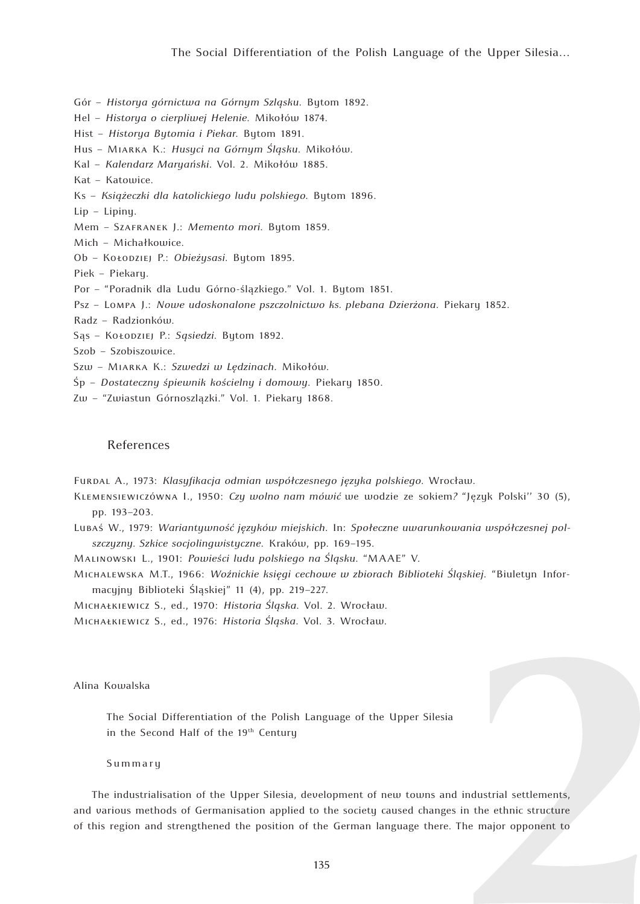Gór – *Historya górnictwa na Górnym Szląsku*. Bytom 1892.

- Hel *Historya o cierpliwej Helenie*. Mikołów 1874.
- Hist *Historya Bytomia i Piekar*. Bytom 1891.
- Hus Miarka K.: *Husyci na Górnym Śląsku*. Mikołów.
- Kal *Kalendarz Maryański*. Vol. 2. Mikołów 1885.
- Kat Katowice.
- Ks *Książeczki dla katolickiego ludu polskiego*. Bytom 1896.

Lip – Lipiny.

Mem – Szafranek J.: *Memento mori*. Bytom 1859.

Mich – Michałkowice.

Ob – Kołodziej P.: *Obieżysasi*. Bytom 1895.

Piek – Piekary.

- Por "Poradnik dla Ludu Górno-ślązkiego." Vol. 1. Bytom 1851.
- Psz Lompa J.: *Nowe udoskonalone pszczolnictwo ks. plebana Dzierżona*. Piekary 1852.
- Radz Radzionków.
- Sąs Kołodziej P.: *Sąsiedzi*. Bytom 1892.

Szob – Szobiszowice.

- Szw Miarka K.: *Szwedzi w Lędzinach*. Mikołów.
- Śp *Dostateczny śpiewnik kościelny i domowy*. Piekary 1850.
- Zw "Zwiastun Górnoszlązki." Vol. 1. Piekary 1868.

## References

- Furdal A., 1973: *Klasyfikacja odmian współczesnego języka polskiego*. Wrocław.
- Klemensiewiczówna I., 1950: *Czy wolno nam mówić* we wodzie ze sokiem*?* "Język Polski'' 30 (5), pp. 193–203.
- Lubaś W., 1979: *Wariantywność języków miejskich*. In: *Społeczne uwarunkowania współczesnej polszczyzny. Szkice socjolingwistyczne*. Kraków, pp. 169–195.

Malinowski L., 1901: *Powieści ludu polskiego na Śląsku*. "MAAE" V.

- Michalewska M.T., 1966: *Woźnickie księgi cechowe w zbiorach Biblioteki Śląskiej*. "Biuletyn Informacyjny Biblioteki Śląskiej" 11 (4), pp. 219–227.
- Michałkiewicz S., ed., 1970: *Historia Śląska*. Vol. 2. Wrocław.
- Michałkiewicz S., ed., 1976: *Historia Śląska*. Vol. 3. Wrocław.

Alina Kowalska

The Social Differentiation of the Polish Language of the Upper Silesia in the Second Half of the 19<sup>th</sup> Century

Summary

The industrialisation of the Upper Silesia, development of new towns and industrial settlements, and various methods of Germanisation applied to the society caused changes in the ethnic structure of this region and strengthened the position of the German language there. The major opponent to